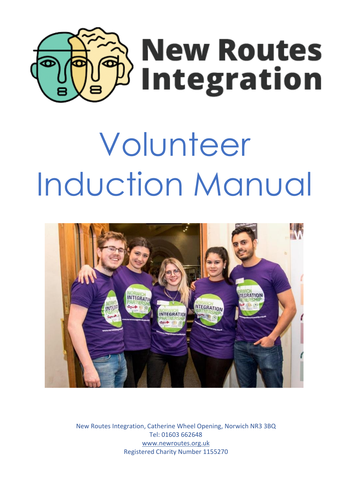

# Volunteer Induction Manual



New Routes Integration, Catherine Wheel Opening, Norwich NR3 3BQ Tel: 01603 662648 [www.newroutes.org.uk](http://www.newroutes.org.uk/)  Registered Charity Number 1155270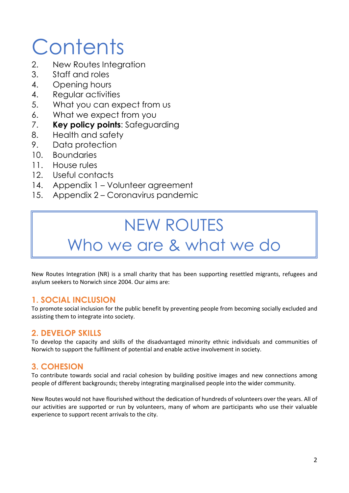## **Contents**

- 2. New Routes Integration
- 3. Staff and roles
- 4. Opening hours
- 4. Regular activities
- 5. What you can expect from us
- 6. What we expect from you
- 7. **Key policy points**: Safeguarding
- 8. Health and safety
- 9. Data protection
- 10. Boundaries
- 11. House rules
- 12. Useful contacts
- 14. Appendix 1 Volunteer agreement
- 15. Appendix 2 Coronavirus pandemic

## NEW ROUTES Who we are & what we do

New Routes Integration (NR) is a small charity that has been supporting resettled migrants, refugees and asylum seekers to Norwich since 2004. Our aims are:

#### **1. SOCIAL INCLUSION**

To promote social inclusion for the public benefit by preventing people from becoming socially excluded and assisting them to integrate into society.

#### **2. DEVELOP SKILLS**

To develop the capacity and skills of the disadvantaged minority ethnic individuals and communities of Norwich to support the fulfilment of potential and enable active involvement in society.

### **3. COHESION**

To contribute towards social and racial cohesion by building positive images and new connections among people of different backgrounds; thereby integrating marginalised people into the wider community.

New Routes would not have flourished without the dedication of hundreds of volunteers over the years. All of our activities are supported or run by volunteers, many of whom are participants who use their valuable experience to support recent arrivals to the city.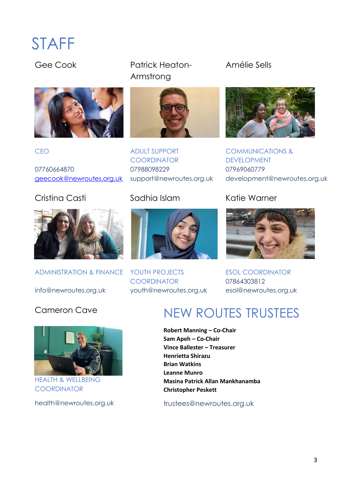### STAFF



07760664870 07988098229 07969060779

### Cristina Casti **Sadhia Islam** Katie Warner



ADMINISTRATION & FINANCE YOUTH PROJECTS

Gee Cook Patrick Heaton-Armstrong



CEO ADULT SUPPORT **COORDINATOR** 



**COORDINATOR** info@newroutes.org.uk youth@newroutes.org.uk esol@newroutes.org.uk

Amélie Sells



COMMUNICATIONS & DEVELOPMENT [geecook@newroutes.org.uk](mailto:geecook@newroutes.org.uk) support@newroutes.org.uk development@newroutes.org.uk



ESOL COORDINATOR 07864303812



HEALTH & WELLBEING **COORDINATOR** 

### Cameron Cave NEW ROUTES TRUSTEES

 **Robert Manning – Co-Chair Sam Apeh – Co-Chair Vince Ballester – Treasurer Henrietta Shirazu Brian Watkins Leanne Munro Masina Patrick Allan Mankhanamba Christopher Peskett** 

health@newroutes.org.uk [trustees@newroutes.org.uk](mailto:trustees@newroutes.org.uk)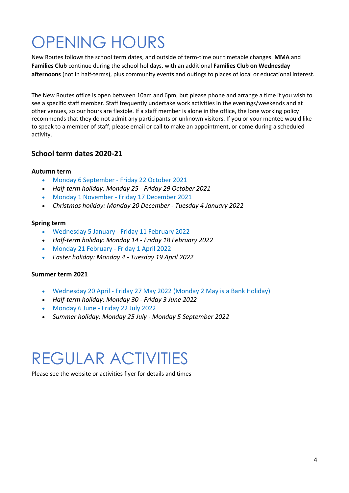## OPENING HOURS

New Routes follows the school term dates, and outside of term-time our timetable changes. **MMA** and **Families Club** continue during the school holidays, with an additional **Families Club on Wednesday afternoons** (not in half-terms), plus community events and outings to places of local or educational interest.

The New Routes office is open between 10am and 6pm, but please phone and arrange a time if you wish to see a specific staff member. Staff frequently undertake work activities in the evenings/weekends and at other venues, so our hours are flexible. If a staff member is alone in the office, the lone working policy recommends that they do not admit any participants or unknown visitors. If you or your mentee would like to speak to a member of staff, please email or call to make an appointment, or come during a scheduled activity.

#### **School term dates 2020-21**

#### **Autumn term**

- Monday 6 September Friday 22 October 2021
- *Half-term holiday: Monday 25 Friday 29 October 2021*
- Monday 1 November Friday 17 December 2021
- *Christmas holiday: Monday 20 December Tuesday 4 January 2022*

#### **Spring term**

- Wednesday 5 January Friday 11 February 2022
- *Half-term holiday: Monday 14 Friday 18 February 2022*
- Monday 21 February Friday 1 April 2022
- *Easter holiday: Monday 4 Tuesday 19 April 2022*

#### **Summer term 2021**

- Wednesday 20 April Friday 27 May 2022 (Monday 2 May is a Bank Holiday)
- *Half-term holiday: Monday 30 Friday 3 June 2022*
- Monday 6 June Friday 22 July 2022
- *Summer holiday: Monday 25 July Monday 5 September 2022*

### REGULAR ACTIVITIES

Please see the website or activities flyer for details and times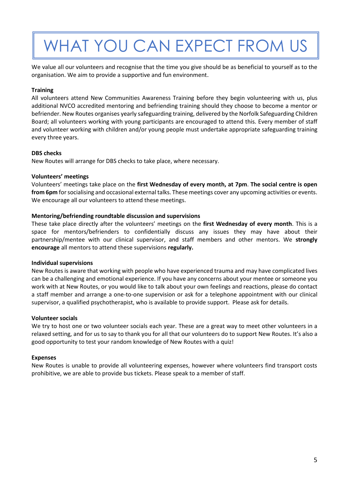## WHAT YOU CAN EXPECT FROM US

We value all our volunteers and recognise that the time you give should be as beneficial to yourself as to the organisation. We aim to provide a supportive and fun environment.

#### **Training**

All volunteers attend New Communities Awareness Training before they begin volunteering with us, plus additional NVCO accredited mentoring and befriending training should they choose to become a mentor or befriender. New Routes organises yearly safeguarding training, delivered by the Norfolk Safeguarding Children Board; all volunteers working with young participants are encouraged to attend this. Every member of staff and volunteer working with children and/or young people must undertake appropriate safeguarding training every three years.

#### **DBS checks**

New Routes will arrange for DBS checks to take place, where necessary.

#### **Volunteers' meetings**

Volunteers' meetings take place on the **first Wednesday of every month, at 7pm**. **The social centre is open from 6pm** for socialising and occasional external talks. These meetings cover any upcoming activities or events. We encourage all our volunteers to attend these meetings.

#### **Mentoring/befriending roundtable discussion and supervisions**

These take place directly after the volunteers' meetings on the **first Wednesday of every month**. This is a space for mentors/befrienders to confidentially discuss any issues they may have about their partnership/mentee with our clinical supervisor, and staff members and other mentors. We **strongly encourage** all mentors to attend these supervisions **regularly.**

#### **Individual supervisions**

New Routes is aware that working with people who have experienced trauma and may have complicated lives can be a challenging and emotional experience. If you have any concerns about your mentee or someone you work with at New Routes, or you would like to talk about your own feelings and reactions, please do contact a staff member and arrange a one-to-one supervision or ask for a telephone appointment with our clinical supervisor, a qualified psychotherapist, who is available to provide support. Please ask for details.

#### **Volunteer socials**

We try to host one or two volunteer socials each year. These are a great way to meet other volunteers in a relaxed setting, and for us to say to thank you for all that our volunteers do to support New Routes. It's also a good opportunity to test your random knowledge of New Routes with a quiz!

#### **Expenses**

New Routes is unable to provide all volunteering expenses, however where volunteers find transport costs prohibitive, we are able to provide bus tickets. Please speak to a member of staff.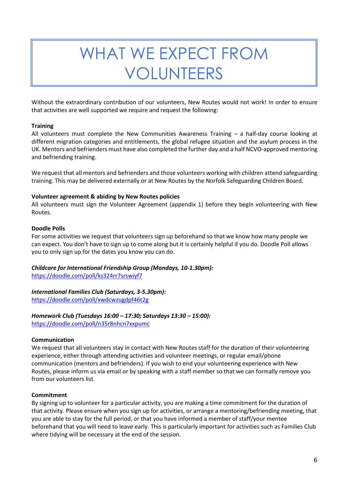### WHAT WE EXPECT FROM VOLUNTEERS

Without the extraordinary contribution of our volunteers, New Routes would not work! In order to ensure that activities are well supported we require and request the following:

#### **Training**

All volunteers must complete the New Communities Awareness Training – a half-day course looking at different migration categories and entitlements, the global refugee situation and the asylum process in the UK. Mentors and befrienders must have also completed the further day and a half NCVO-approved mentoring and befriending training.

We request that all mentors and befrienders and those volunteers working with children attend safeguarding training. This may be delivered externally or at New Routes by the Norfolk Safeguarding Children Board.

#### **Volunteer agreement & abiding by New Routes policies**

All volunteers must sign the Volunteer Agreement (appendix 1) before they begin volunteering with New Routes.

#### **Doodle Polls**

For some activities we request that volunteers sign up beforehand so that we know how many people we can expect. You don't have to sign up to come along but it is certainly helpful if you do. Doodle Poll allows you to only sign up for the dates you know you can do.

### *Childcare for International Friendship Group (Mondays, 10-1.30pm):*

<https://doodle.com/poll/ks324rr7srswiyf7>

#### *International Families Club (Saturdays, 3-5.30pm):*

<https://doodle.com/poll/xwdcwzugdpf46t2g>

#### *Homework Club (Tuesdays 16:00 – 17:30; Saturdays 13:30 – 15:00):*

<https://doodle.com/poll/n35r8nhcn7xxpumc>

#### **Communication**

We request that all volunteers stay in contact with New Routes staff for the duration of their volunteering experience, either through attending activities and volunteer meetings, or regular email/phone communication (mentors and befrienders). If you wish to end your volunteering experience with New Routes, please inform us via email or by speaking with a staff member so that we can formally remove you from our volunteers list.

#### **Commitment**

By signing up to volunteer for a particular activity, you are making a time commitment for the duration of that activity. Please ensure when you sign up for activities, or arrange a mentoring/befriending meeting, that you are able to stay for the full period, or that you have informed a member of staff/your mentee beforehand that you will need to leave early. This is particularly important for activities such as Families Club where tidying will be necessary at the end of the session.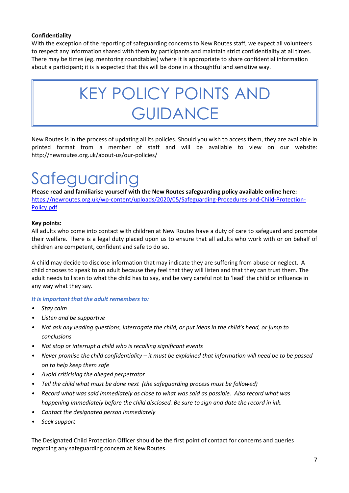#### **Confidentiality**

With the exception of the reporting of safeguarding concerns to New Routes staff, we expect all volunteers to respect any information shared with them by participants and maintain strict confidentiality at all times. There may be times (eg. mentoring roundtables) where it is appropriate to share confidential information about a participant; it is is expected that this will be done in a thoughtful and sensitive way.

### KEY POLICY POINTS AND **GUIDANCE**

New Routes is in the process of updating all its policies. Should you wish to access them, they are available in printed format from a member of staff and will be available to view on our website: http://newroutes.org.uk/about-us/our-policies/

### Safeguarding

**Please read and familiarise yourself with the New Routes safeguarding policy available online here:** [https://newroutes.org.uk/wp-content/uploads/2020/05/Safeguarding-Procedures-and-Child-Protection-](https://newroutes.org.uk/wp-content/uploads/2020/05/Safeguarding-Procedures-and-Child-Protection-Policy.pdf)[Policy.pdf](https://newroutes.org.uk/wp-content/uploads/2020/05/Safeguarding-Procedures-and-Child-Protection-Policy.pdf)

#### **Key points:**

All adults who come into contact with children at New Routes have a duty of care to safeguard and promote their welfare. There is a legal duty placed upon us to ensure that all adults who work with or on behalf of children are competent, confident and safe to do so.

A child may decide to disclose information that may indicate they are suffering from abuse or neglect. A child chooses to speak to an adult because they feel that they will listen and that they can trust them. The adult needs to listen to what the child has to say, and be very careful not to 'lead' the child or influence in any way what they say.

#### *It is important that the adult remembers to:*

- *• Stay calm*
- *• Listen and be supportive*
- *• Not ask any leading questions, interrogate the child, or put ideas in the child's head, or jump to conclusions*
- *• Not stop or interrupt a child who is recalling significant events*
- *• Never promise the child confidentiality – it must be explained that information will need be to be passed on to help keep them safe*
- *• Avoid criticising the alleged perpetrator*
- *• Tell the child what must be done next (the safeguarding process must be followed)*
- *• Record what was said immediately as close to what was said as possible. Also record what was happening immediately before the child disclosed. Be sure to sign and date the record in ink.*
- *• Contact the designated person immediately*
- *• Seek support*

The Designated Child Protection Officer should be the first point of contact for concerns and queries regarding any safeguarding concern at New Routes.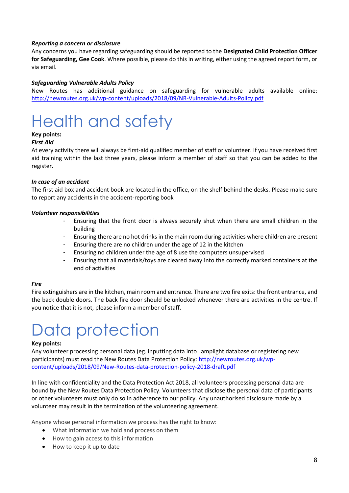#### *Reporting a concern or disclosure*

Any concerns you have regarding safeguarding should be reported to the **Designated Child Protection Officer for Safeguarding, Gee Cook**. Where possible, please do this in writing, either using the agreed report form, or via email.

#### *Safeguarding Vulnerable Adults Policy*

New Routes has additional guidance on safeguarding for vulnerable adults available online: <http://newroutes.org.uk/wp-content/uploads/2018/09/NR-Vulnerable-Adults-Policy.pdf>

### Health and safety

### **Key points:**

#### *First Aid*

At every activity there will always be first-aid qualified member of staff or volunteer. If you have received first aid training within the last three years, please inform a member of staff so that you can be added to the register.

#### *In case of an accident*

The first aid box and accident book are located in the office, on the shelf behind the desks. Please make sure to report any accidents in the accident-reporting book

#### *Volunteer responsibilities*

- Ensuring that the front door is always securely shut when there are small children in the building
- Ensuring there are no hot drinks in the main room during activities where children are present
- Ensuring there are no children under the age of 12 in the kitchen
- Ensuring no children under the age of 8 use the computers unsupervised
- Ensuring that all materials/toys are cleared away into the correctly marked containers at the end of activities

#### *Fire*

Fire extinguishers are in the kitchen, main room and entrance. There are two fire exits: the front entrance, and the back double doors. The back fire door should be unlocked whenever there are activities in the centre. If you notice that it is not, please inform a member of staff.

### Data protection

#### **Key points:**

Any volunteer processing personal data (eg. inputting data into Lamplight database or registering new participants) must read the New Routes Data Protection Policy: [http://newroutes.org.uk/wp](http://newroutes.org.uk/wp-content/uploads/2018/09/New-Routes-data-protection-policy-2018-draft.pdf)[content/uploads/2018/09/New-Routes-data-protection-policy-2018-draft.pdf](http://newroutes.org.uk/wp-content/uploads/2018/09/New-Routes-data-protection-policy-2018-draft.pdf) 

In line with confidentiality and the Data Protection Act 2018, all volunteers processing personal data are bound by the New Routes Data Protection Policy. Volunteers that disclose the personal data of participants or other volunteers must only do so in adherence to our policy. Any unauthorised disclosure made by a volunteer may result in the termination of the volunteering agreement.

Anyone whose personal information we process has the right to know:

- What information we hold and process on them
- How to gain access to this information
- How to keep it up to date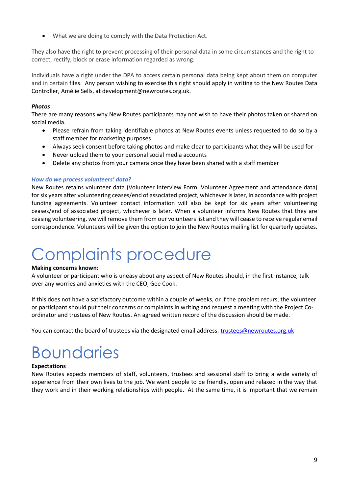What we are doing to comply with the Data Protection Act.

They also have the right to prevent processing of their personal data in some circumstances and the right to correct, rectify, block or erase information regarded as wrong.

Individuals have a right under the DPA to access certain personal data being kept about them on computer and in certain files. Any person wishing to exercise this right should apply in writing to the New Routes Data Controller, Amélie Sells, at development@newroutes.org.uk.

#### *Photos*

There are many reasons why New Routes participants may not wish to have their photos taken or shared on social media.

- Please refrain from taking identifiable photos at New Routes events unless requested to do so by a staff member for marketing purposes
- Always seek consent before taking photos and make clear to participants what they will be used for
- Never upload them to your personal social media accounts
- Delete any photos from your camera once they have been shared with a staff member

#### *How do we process volunteers' data?*

New Routes retains volunteer data (Volunteer Interview Form, Volunteer Agreement and attendance data) for six years after volunteering ceases/end of associated project, whichever is later, in accordance with project funding agreements. Volunteer contact information will also be kept for six years after volunteering ceases/end of associated project, whichever is later. When a volunteer informs New Routes that they are ceasing volunteering, we will remove them from our volunteers list and they will cease to receive regular email correspondence. Volunteers will be given the option to join the New Routes mailing list for quarterly updates.

### Complaints procedure

#### **Making concerns known:**

A volunteer or participant who is uneasy about any aspect of New Routes should, in the first instance, talk over any worries and anxieties with the CEO, Gee Cook.

If this does not have a satisfactory outcome within a couple of weeks, or if the problem recurs, the volunteer or participant should put their concerns or complaints in writing and request a meeting with the Project Coordinator and trustees of New Routes. An agreed written record of the discussion should be made.

You can contact the board of trustees via the designated email address: [trustees@newroutes.org.uk](mailto:trustees@newroutes.org.uk)

### **Boundaries**

#### **Expectations**

New Routes expects members of staff, volunteers, trustees and sessional staff to bring a wide variety of experience from their own lives to the job. We want people to be friendly, open and relaxed in the way that they work and in their working relationships with people. At the same time, it is important that we remain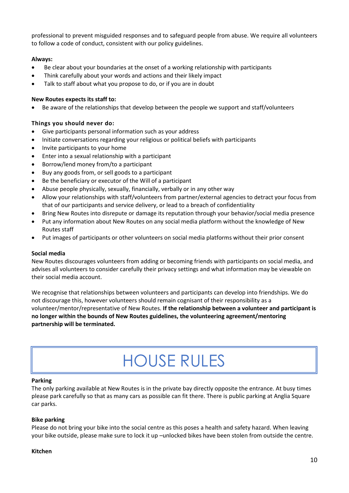professional to prevent misguided responses and to safeguard people from abuse. We require all volunteers to follow a code of conduct, consistent with our policy guidelines.

#### **Always:**

- Be clear about your boundaries at the onset of a working relationship with participants
- Think carefully about your words and actions and their likely impact
- Talk to staff about what you propose to do, or if you are in doubt

#### **New Routes expects its staff to:**

Be aware of the relationships that develop between the people we support and staff/volunteers

#### **Things you should never do:**

- Give participants personal information such as your address
- Initiate conversations regarding your religious or political beliefs with participants
- Invite participants to your home
- Enter into a sexual relationship with a participant
- Borrow/lend money from/to a participant
- Buy any goods from, or sell goods to a participant
- Be the beneficiary or executor of the Will of a participant
- Abuse people physically, sexually, financially, verbally or in any other way
- Allow your relationships with staff/volunteers from partner/external agencies to detract your focus from that of our participants and service delivery, or lead to a breach of confidentiality
- Bring New Routes into disrepute or damage its reputation through your behavior/social media presence
- Put any information about New Routes on any social media platform without the knowledge of New Routes staff
- Put images of participants or other volunteers on social media platforms without their prior consent

#### **Social media**

New Routes discourages volunteers from adding or becoming friends with participants on social media, and advises all volunteers to consider carefully their privacy settings and what information may be viewable on their social media account.

We recognise that relationships between volunteers and participants can develop into friendships. We do not discourage this, however volunteers should remain cognisant of their responsibility as a volunteer/mentor/representative of New Routes. **If the relationship between a volunteer and participant is no longer within the bounds of New Routes guidelines, the volunteering agreement/mentoring partnership will be terminated.**

### HOUSE RULES

#### **Parking**

The only parking available at New Routes is in the private bay directly opposite the entrance. At busy times please park carefully so that as many cars as possible can fit there. There is public parking at Anglia Square car parks.

#### **Bike parking**

Please do not bring your bike into the social centre as this poses a health and safety hazard. When leaving your bike outside, please make sure to lock it up –unlocked bikes have been stolen from outside the centre.

#### **Kitchen**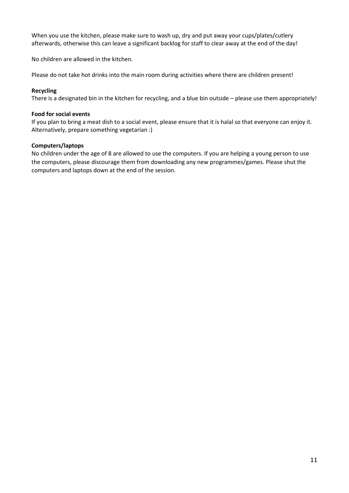When you use the kitchen, please make sure to wash up, dry and put away your cups/plates/cutlery afterwards, otherwise this can leave a significant backlog for staff to clear away at the end of the day!

No children are allowed in the kitchen.

Please do not take hot drinks into the main room during activities where there are children present!

#### **Recycling**

There is a designated bin in the kitchen for recycling, and a blue bin outside – please use them appropriately!

#### **Food for social events**

If you plan to bring a meat dish to a social event, please ensure that it is halal so that everyone can enjoy it. Alternatively, prepare something vegetarian :)

#### **Computers/laptops**

No children under the age of 8 are allowed to use the computers. If you are helping a young person to use the computers, please discourage them from downloading any new programmes/games. Please shut the computers and laptops down at the end of the session.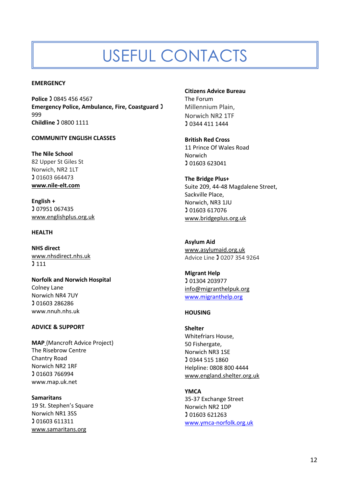### USEFUL CONTACTS

#### **EMERGENCY**

**Police ) 0845 456 4567 Emergency Police, Ambulance, Fire, Coastguard** 999 **Childline** 0800 1111

#### **COMMUNITY ENGLISH CLASSES**

**The Nile School** 82 Upper St Giles St Norwich, NR2 1LT **01603 664473 [www.nile-elt.com](https://www.nile-elt.com/)**

**English + 07951 067435** [www.englishplus.org.uk](http://www.englishplus.org.uk/) 

#### **HEALTH**

**NHS direct** [www.nhsdirect.nhs.uk](http://www.nhsdirect.nhs.uk/)   $3111$ 

**Norfolk and Norwich Hospital**  Colney Lane Norwich NR4 7UY 01603 286286 www.nnuh.nhs.uk

#### **ADVICE & SUPPORT**

**MAP** (Mancroft Advice Project) The Risebrow Centre Chantry Road Norwich NR2 1RF 01603 766994 www.map.uk.net

**Samaritans**  19 St. Stephen's Square Norwich NR1 3SS 01603 611311 [www.samaritans.org](http://www.samaritans.org/) 

**Citizens Advice Bureau**

The Forum Millennium Plain, Norwich NR2 1TF 0344 411 1444

**British Red Cross** 11 Prince Of Wales Road Norwich 01603 623041

**The Bridge Plus+** Suite 209, 44-48 Magdalene Street, Sackville Place, Norwich, NR3 1JU 01603 617076 [www.bridgeplus.org.uk](http://www.bridgeplus.org.uk/) 

**Asylum Aid** [www.asylumaid.org.uk](http://www.asylumaid.org.uk/)  Advice Line 20207 354 9264

**Migrant Help** 01304 203977 [info@migranthelpuk.org](mailto:info@migranthelpuk.org?subject=migranthelp.org%20enquiry&body=Please%20include%20your%20name%20and%20a%20contact%20number%20if%20possible%20-%20Thankyou)  [www.migranthelp.org](http://www.migranthelp.org/)

#### **HOUSING**

**Shelter**  Whitefriars House, 50 Fishergate, Norwich NR3 1SE 0344 515 1860 Helpline: 0808 800 4444 [www.england.shelter.org.uk](http://www.england.shelter.org.uk/) 

**YMCA**  35-37 Exchange Street Norwich NR2 1DP 01603 621263 [www.ymca-norfolk.org.uk](http://www.ymca-norfolk.org.uk/)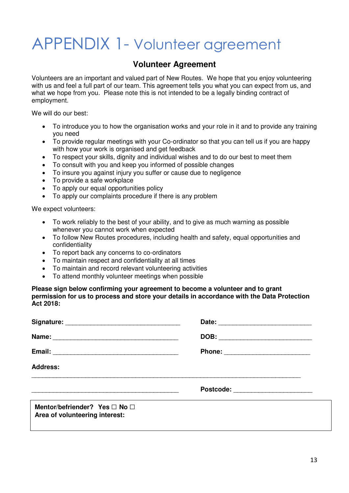### APPENDIX 1- Volunteer agreement

#### **Volunteer Agreement**

Volunteers are an important and valued part of New Routes. We hope that you enjoy volunteering with us and feel a full part of our team. This agreement tells you what you can expect from us, and what we hope from you. Please note this is not intended to be a legally binding contract of employment.

We will do our best:

- To introduce you to how the organisation works and your role in it and to provide any training you need
- To provide regular meetings with your Co-ordinator so that you can tell us if you are happy with how your work is organised and get feedback
- To respect your skills, dignity and individual wishes and to do our best to meet them
- To consult with you and keep you informed of possible changes
- To insure you against injury you suffer or cause due to negligence
- To provide a safe workplace
- To apply our equal opportunities policy
- To apply our complaints procedure if there is any problem

We expect volunteers:

- To work reliably to the best of your ability, and to give as much warning as possible whenever you cannot work when expected
- To follow New Routes procedures, including health and safety, equal opportunities and confidentiality
- To report back any concerns to co-ordinators
- To maintain respect and confidentiality at all times
- To maintain and record relevant volunteering activities
- To attend monthly volunteer meetings when possible

**Please sign below confirming your agreement to become a volunteer and to grant permission for us to process and store your details in accordance with the Data Protection Act 2018:** 

| <b>Address:</b>                                                 |                              |  |
|-----------------------------------------------------------------|------------------------------|--|
|                                                                 | Postcode: New York Postcode: |  |
| Mentor/befriender? Yes □ No □<br>Area of volunteering interest: |                              |  |